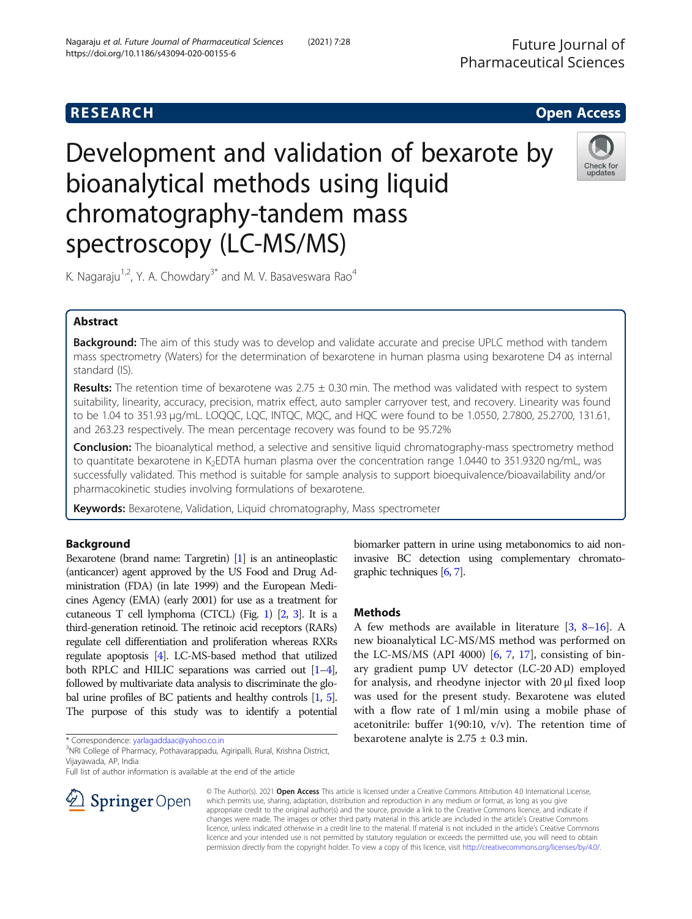# **RESEARCH CHE Open Access**

# Development and validation of bexarote by bioanalytical methods using liquid chromatography-tandem mass spectroscopy (LC-MS/MS)



K. Nagaraju<sup>1,2</sup>, Y. A. Chowdary<sup>3\*</sup> and M. V. Basaveswara Rao<sup>4</sup>

# Abstract

**Background:** The aim of this study was to develop and validate accurate and precise UPLC method with tandem mass spectrometry (Waters) for the determination of bexarotene in human plasma using bexarotene D4 as internal standard (IS).

**Results:** The retention time of bexarotene was  $2.75 \pm 0.30$  min. The method was validated with respect to system suitability, linearity, accuracy, precision, matrix effect, auto sampler carryover test, and recovery. Linearity was found to be 1.04 to 351.93 μg/mL. LOQQC, LQC, INTQC, MQC, and HQC were found to be 1.0550, 2.7800, 25.2700, 131.61, and 263.23 respectively. The mean percentage recovery was found to be 95.72%

**Conclusion:** The bioanalytical method, a selective and sensitive liquid chromatography-mass spectrometry method to quantitate bexarotene in K<sub>2</sub>EDTA human plasma over the concentration range 1.0440 to 351.9320 ng/mL, was successfully validated. This method is suitable for sample analysis to support bioequivalence/bioavailability and/or pharmacokinetic studies involving formulations of bexarotene.

Keywords: Bexarotene, Validation, Liquid chromatography, Mass spectrometer

# Background

Bexarotene (brand name: Targretin) [\[1\]](#page-9-0) is an antineoplastic (anticancer) agent approved by the US Food and Drug Administration (FDA) (in late 1999) and the European Medicines Agency (EMA) (early 2001) for use as a treatment for cutaneous T cell lymphoma (CTCL) (Fig. [1\)](#page-1-0) [[2](#page-9-0), [3\]](#page-9-0). It is a third-generation retinoid. The retinoic acid receptors (RARs) regulate cell differentiation and proliferation whereas RXRs regulate apoptosis [[4](#page-9-0)]. LC-MS-based method that utilized both RPLC and HILIC separations was carried out [[1](#page-9-0)–[4\]](#page-9-0), followed by multivariate data analysis to discriminate the global urine profiles of BC patients and healthy controls [\[1,](#page-9-0) [5\]](#page-9-0). The purpose of this study was to identify a potential

\* Correspondence: [yarlagaddaac@yahoo.co.in](mailto:yarlagaddaac@yahoo.co.in) <sup>3</sup>

<sup>3</sup>NRI College of Pharmacy, Pothavarappadu, Agiripalli, Rural, Krishna District, Vijayawada, AP, India

Full list of author information is available at the end of the article



biomarker pattern in urine using metabonomics to aid noninvasive BC detection using complementary chromatographic techniques [\[6,](#page-9-0) [7\]](#page-9-0).

# Methods

A few methods are available in literature  $[3, 8-16]$  $[3, 8-16]$  $[3, 8-16]$  $[3, 8-16]$  $[3, 8-16]$ . A new bioanalytical LC-MS/MS method was performed on the LC-MS/MS (API 4000)  $[6, 7, 17]$  $[6, 7, 17]$  $[6, 7, 17]$  $[6, 7, 17]$  $[6, 7, 17]$  $[6, 7, 17]$ , consisting of binary gradient pump UV detector (LC-20 AD) employed for analysis, and rheodyne injector with 20 μl fixed loop was used for the present study. Bexarotene was eluted with a flow rate of 1 ml/min using a mobile phase of acetonitrile: buffer  $1(90:10, v/v)$ . The retention time of bexarotene analyte is  $2.75 \pm 0.3$  min.

© The Author(s). 2021 Open Access This article is licensed under a Creative Commons Attribution 4.0 International License, which permits use, sharing, adaptation, distribution and reproduction in any medium or format, as long as you give appropriate credit to the original author(s) and the source, provide a link to the Creative Commons licence, and indicate if changes were made. The images or other third party material in this article are included in the article's Creative Commons licence, unless indicated otherwise in a credit line to the material. If material is not included in the article's Creative Commons licence and your intended use is not permitted by statutory regulation or exceeds the permitted use, you will need to obtain permission directly from the copyright holder. To view a copy of this licence, visit <http://creativecommons.org/licenses/by/4.0/>.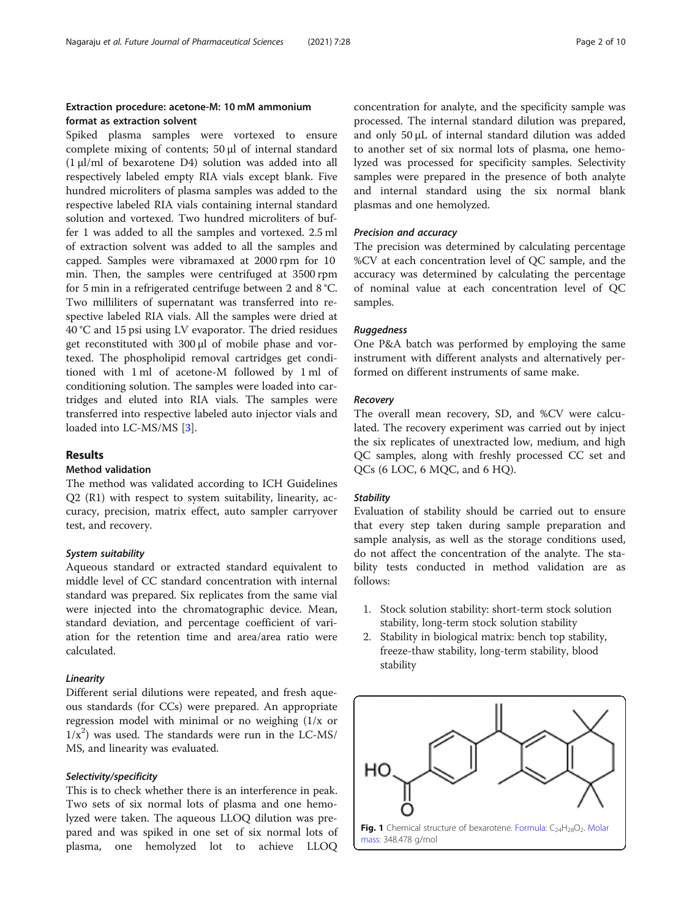# <span id="page-1-0"></span>Extraction procedure: acetone-M: 10 mM ammonium format as extraction solvent

Spiked plasma samples were vortexed to ensure complete mixing of contents; 50 μl of internal standard (1 μl/ml of bexarotene D4) solution was added into all respectively labeled empty RIA vials except blank. Five hundred microliters of plasma samples was added to the respective labeled RIA vials containing internal standard solution and vortexed. Two hundred microliters of buffer 1 was added to all the samples and vortexed. 2.5 ml of extraction solvent was added to all the samples and capped. Samples were vibramaxed at 2000 rpm for 10 min. Then, the samples were centrifuged at 3500 rpm for 5 min in a refrigerated centrifuge between 2 and 8 °C. Two milliliters of supernatant was transferred into respective labeled RIA vials. All the samples were dried at 40 °C and 15 psi using LV evaporator. The dried residues get reconstituted with 300 μl of mobile phase and vortexed. The phospholipid removal cartridges get conditioned with 1 ml of acetone-M followed by 1 ml of conditioning solution. The samples were loaded into cartridges and eluted into RIA vials. The samples were transferred into respective labeled auto injector vials and loaded into LC-MS/MS [\[3](#page-9-0)].

# Results

# Method validation

The method was validated according to ICH Guidelines Q2 (R1) with respect to system suitability, linearity, accuracy, precision, matrix effect, auto sampler carryover test, and recovery.

#### System suitability

Aqueous standard or extracted standard equivalent to middle level of CC standard concentration with internal standard was prepared. Six replicates from the same vial were injected into the chromatographic device. Mean, standard deviation, and percentage coefficient of variation for the retention time and area/area ratio were calculated.

#### Linearity

Different serial dilutions were repeated, and fresh aqueous standards (for CCs) were prepared. An appropriate regression model with minimal or no weighing (1/x or  $1/x<sup>2</sup>$ ) was used. The standards were run in the LC-MS/ MS, and linearity was evaluated.

#### Selectivity/specificity

This is to check whether there is an interference in peak. Two sets of six normal lots of plasma and one hemolyzed were taken. The aqueous LLOQ dilution was prepared and was spiked in one set of six normal lots of plasma, one hemolyzed lot to achieve LLOQ

concentration for analyte, and the specificity sample was processed. The internal standard dilution was prepared, and only 50 μL of internal standard dilution was added to another set of six normal lots of plasma, one hemolyzed was processed for specificity samples. Selectivity samples were prepared in the presence of both analyte and internal standard using the six normal blank plasmas and one hemolyzed.

#### Precision and accuracy

The precision was determined by calculating percentage %CV at each concentration level of QC sample, and the accuracy was determined by calculating the percentage of nominal value at each concentration level of QC samples.

#### Ruggedness

One P&A batch was performed by employing the same instrument with different analysts and alternatively performed on different instruments of same make.

#### Recovery

The overall mean recovery, SD, and %CV were calculated. The recovery experiment was carried out by inject the six replicates of unextracted low, medium, and high QC samples, along with freshly processed CC set and QCs (6 LOC, 6 MQC, and 6 HQ).

#### **Stability**

Evaluation of stability should be carried out to ensure that every step taken during sample preparation and sample analysis, as well as the storage conditions used, do not affect the concentration of the analyte. The stability tests conducted in method validation are as follows:

- 1. Stock solution stability: short-term stock solution stability, long-term stock solution stability
- 2. Stability in biological matrix: bench top stability, freeze-thaw stability, long-term stability, blood stability

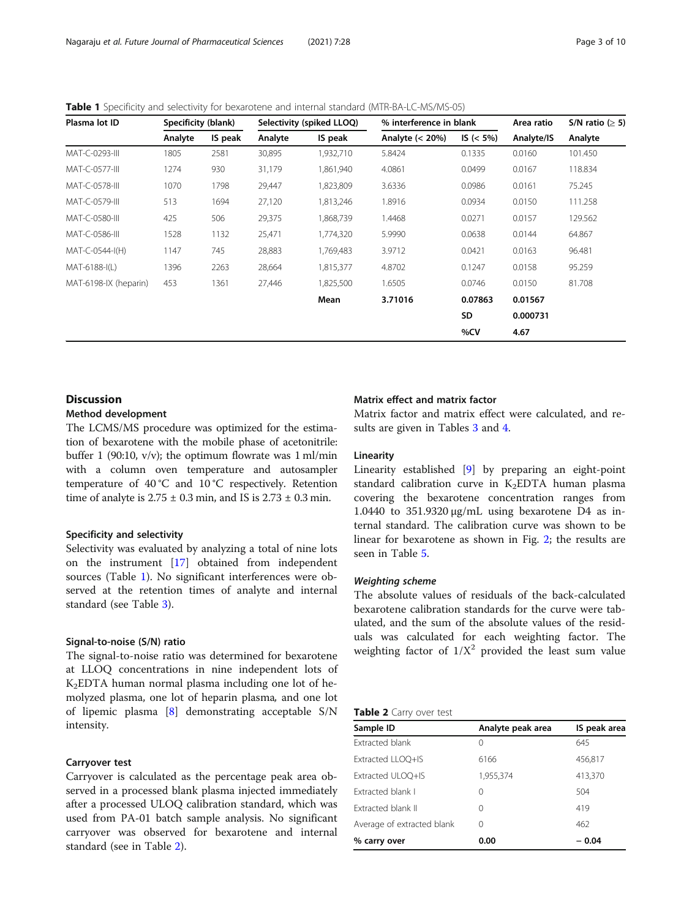# Table 1 Specificity and selectivity for bexarotene and internal standard (MTR-BA-LC-MS/MS-05)

| Plasma lot ID         |         | Specificity (blank)<br>Selectivity (spiked LLOQ)<br>% interference in blank |         |           | Area ratio         | S/N ratio ( $\geq$ 5) |            |         |
|-----------------------|---------|-----------------------------------------------------------------------------|---------|-----------|--------------------|-----------------------|------------|---------|
|                       | Analyte | IS peak                                                                     | Analyte | IS peak   | Analyte $(< 20\%)$ | $IS (< 5\%)$          | Analyte/IS | Analyte |
| MAT-C-0293-III        | 1805    | 2581                                                                        | 30,895  | 1,932,710 | 5.8424             | 0.1335                | 0.0160     | 101.450 |
| MAT-C-0577-III        | 1274    | 930                                                                         | 31,179  | 1,861,940 | 4.0861             | 0.0499                | 0.0167     | 118.834 |
| MAT-C-0578-III        | 1070    | 1798                                                                        | 29,447  | 1,823,809 | 3.6336             | 0.0986                | 0.0161     | 75.245  |
| MAT-C-0579-III        | 513     | 1694                                                                        | 27,120  | 1,813,246 | 1.8916             | 0.0934                | 0.0150     | 111.258 |
| MAT-C-0580-III        | 425     | 506                                                                         | 29,375  | 1,868,739 | 1.4468             | 0.0271                | 0.0157     | 129.562 |
| MAT-C-0586-III        | 1528    | 1132                                                                        | 25,471  | 1,774,320 | 5.9990             | 0.0638                | 0.0144     | 64.867  |
| MAT-C-0544-I(H)       | 1147    | 745                                                                         | 28,883  | 1,769,483 | 3.9712             | 0.0421                | 0.0163     | 96.481  |
| MAT-6188-I(L)         | 1396    | 2263                                                                        | 28,664  | 1,815,377 | 4.8702             | 0.1247                | 0.0158     | 95.259  |
| MAT-6198-IX (heparin) | 453     | 1361                                                                        | 27,446  | 1,825,500 | 1.6505             | 0.0746                | 0.0150     | 81.708  |
|                       |         |                                                                             |         | Mean      | 3.71016            | 0.07863               | 0.01567    |         |
|                       |         |                                                                             |         |           |                    | <b>SD</b>             | 0.000731   |         |
|                       |         |                                                                             |         |           |                    | %CV                   | 4.67       |         |

# **Discussion**

# Method development

The LCMS/MS procedure was optimized for the estimation of bexarotene with the mobile phase of acetonitrile: buffer 1 (90:10,  $v/v$ ); the optimum flowrate was 1 ml/min with a column oven temperature and autosampler temperature of 40 °C and 10 °C respectively. Retention time of analyte is  $2.75 \pm 0.3$  min, and IS is  $2.73 \pm 0.3$  min.

# Specificity and selectivity

Selectivity was evaluated by analyzing a total of nine lots on the instrument [[17\]](#page-9-0) obtained from independent sources (Table 1). No significant interferences were observed at the retention times of analyte and internal standard (see Table [3](#page-3-0)).

#### Signal-to-noise (S/N) ratio

The signal-to-noise ratio was determined for bexarotene at LLOQ concentrations in nine independent lots of K2EDTA human normal plasma including one lot of hemolyzed plasma, one lot of heparin plasma, and one lot of lipemic plasma [\[8](#page-9-0)] demonstrating acceptable S/N intensity.

#### Carryover test

Carryover is calculated as the percentage peak area observed in a processed blank plasma injected immediately after a processed ULOQ calibration standard, which was used from PA-01 batch sample analysis. No significant carryover was observed for bexarotene and internal standard (see in Table 2).

# Matrix effect and matrix factor

Matrix factor and matrix effect were calculated, and results are given in Tables [3](#page-3-0) and [4.](#page-3-0)

#### Linearity

Linearity established [\[9](#page-9-0)] by preparing an eight-point standard calibration curve in  $K_2EDTA$  human plasma covering the bexarotene concentration ranges from 1.0440 to 351.9320 μg/mL using bexarotene D4 as internal standard. The calibration curve was shown to be linear for bexarotene as shown in Fig. [2;](#page-4-0) the results are seen in Table [5](#page-4-0).

#### Weighting scheme

The absolute values of residuals of the back-calculated bexarotene calibration standards for the curve were tabulated, and the sum of the absolute values of the residuals was calculated for each weighting factor. The weighting factor of  $1/X^2$  provided the least sum value

#### **Table 2** Carry over test

| Sample ID                  | Analyte peak area | IS peak area |
|----------------------------|-------------------|--------------|
| <b>Extracted blank</b>     | $\left( \right)$  | 645          |
| Extracted LLOO+IS          | 6166              | 456,817      |
| Extracted ULOO+IS          | 1,955,374         | 413,370      |
| Extracted blank I          | 0                 | 504          |
| Extracted blank II         | 0                 | 419          |
| Average of extracted blank | 0                 | 462          |
| % carry over               | 0.00              | $-0.04$      |
|                            |                   |              |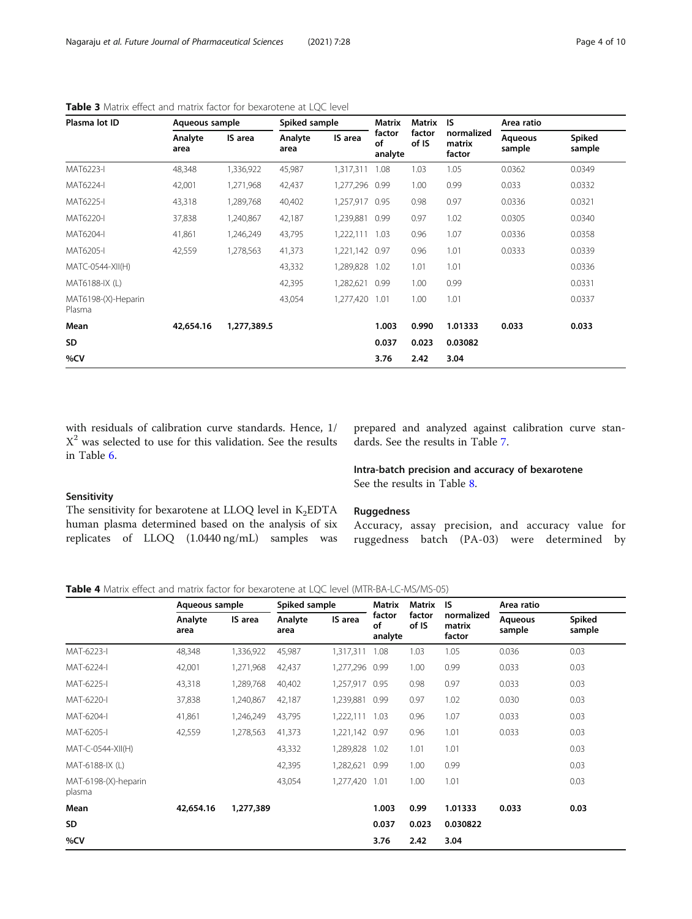| Plasma lot ID                 | Aqueous sample  |             | Spiked sample   |                | Matrix                  | Matrix          | <b>IS</b>                      | Area ratio               |                  |
|-------------------------------|-----------------|-------------|-----------------|----------------|-------------------------|-----------------|--------------------------------|--------------------------|------------------|
|                               | Analyte<br>area | IS area     | Analyte<br>area | IS area        | factor<br>οf<br>analyte | factor<br>of IS | normalized<br>matrix<br>factor | <b>Aqueous</b><br>sample | Spiked<br>sample |
| MAT6223-I                     | 48,348          | 1,336,922   | 45,987          | 1,317,311      | 1.08                    | 1.03            | 1.05                           | 0.0362                   | 0.0349           |
| MAT6224-I                     | 42,001          | 1,271,968   | 42,437          | 1,277,296      | 0.99                    | 1.00            | 0.99                           | 0.033                    | 0.0332           |
| MAT6225-I                     | 43,318          | 1,289,768   | 40,402          | 1,257,917 0.95 |                         | 0.98            | 0.97                           | 0.0336                   | 0.0321           |
| MAT6220-I                     | 37,838          | 1,240,867   | 42,187          | 1,239,881      | 0.99                    | 0.97            | 1.02                           | 0.0305                   | 0.0340           |
| MAT6204-I                     | 41,861          | 1,246,249   | 43,795          | 1,222,111 1.03 |                         | 0.96            | 1.07                           | 0.0336                   | 0.0358           |
| MAT6205-I                     | 42,559          | 1,278,563   | 41,373          | 1,221,142      | 0.97                    | 0.96            | 1.01                           | 0.0333                   | 0.0339           |
| MATC-0544-XII(H)              |                 |             | 43,332          | 1,289,828 1.02 |                         | 1.01            | 1.01                           |                          | 0.0336           |
| MAT6188-IX (L)                |                 |             | 42,395          | 1,282,621      | 0.99                    | 1.00            | 0.99                           |                          | 0.0331           |
| MAT6198-(X)-Heparin<br>Plasma |                 |             | 43,054          | 1,277,420      | 1.01                    | 1.00            | 1.01                           |                          | 0.0337           |
| Mean                          | 42,654.16       | 1,277,389.5 |                 |                | 1.003                   | 0.990           | 1.01333                        | 0.033                    | 0.033            |
| SD                            |                 |             |                 |                | 0.037                   | 0.023           | 0.03082                        |                          |                  |
| %CV                           |                 |             |                 |                | 3.76                    | 2.42            | 3.04                           |                          |                  |

<span id="page-3-0"></span>Table 3 Matrix effect and matrix factor for bexarotene at LQC level

with residuals of calibration curve standards. Hence, 1/  $X<sup>2</sup>$  was selected to use for this validation. See the results in Table [6](#page-4-0).

prepared and analyzed against calibration curve standards. See the results in Table [7](#page-4-0).

# Intra-batch precision and accuracy of bexarotene See the results in Table [8.](#page-5-0)

# Sensitivity

The sensitivity for bexarotene at LLOQ level in  $K_2EDTA$ human plasma determined based on the analysis of six replicates of LLOQ (1.0440 ng/mL) samples was

#### **Ruggedness**

Accuracy, assay precision, and accuracy value for ruggedness batch (PA-03) were determined by

Table 4 Matrix effect and matrix factor for bexarotene at LQC level (MTR-BA-LC-MS/MS-05)

|                                | Aqueous sample  |           | Spiked sample   |                | <b>Matrix</b>           | Matrix          | IS                             | Area ratio        |                  |
|--------------------------------|-----------------|-----------|-----------------|----------------|-------------------------|-----------------|--------------------------------|-------------------|------------------|
|                                | Analyte<br>area | IS area   | Analyte<br>area | IS area        | factor<br>οf<br>analyte | factor<br>of IS | normalized<br>matrix<br>factor | Aqueous<br>sample | Spiked<br>sample |
| MAT-6223-I                     | 48,348          | 1,336,922 | 45,987          | 1,317,311      | 1.08                    | 1.03            | 1.05                           | 0.036             | 0.03             |
| MAT-6224-I                     | 42,001          | 1,271,968 | 42,437          | 1,277,296 0.99 |                         | 1.00            | 0.99                           | 0.033             | 0.03             |
| MAT-6225-I                     | 43,318          | 1,289,768 | 40,402          | 1,257,917 0.95 |                         | 0.98            | 0.97                           | 0.033             | 0.03             |
| MAT-6220-I                     | 37,838          | 1,240,867 | 42,187          | 1,239,881 0.99 |                         | 0.97            | 1.02                           | 0.030             | 0.03             |
| MAT-6204-I                     | 41,861          | 1,246,249 | 43,795          | 1,222,111      | 1.03                    | 0.96            | 1.07                           | 0.033             | 0.03             |
| MAT-6205-I                     | 42,559          | 1,278,563 | 41,373          | 1,221,142 0.97 |                         | 0.96            | 1.01                           | 0.033             | 0.03             |
| MAT-C-0544-XII(H)              |                 |           | 43,332          | 1,289,828      | 1.02                    | 1.01            | 1.01                           |                   | 0.03             |
| MAT-6188-IX (L)                |                 |           | 42,395          | 1,282,621      | 0.99                    | 1.00            | 0.99                           |                   | 0.03             |
| MAT-6198-(X)-heparin<br>plasma |                 |           | 43,054          | 1,277,420      | 1.01                    | 1.00            | 1.01                           |                   | 0.03             |
| Mean                           | 42,654.16       | 1,277,389 |                 |                | 1.003                   | 0.99            | 1.01333                        | 0.033             | 0.03             |
| SD                             |                 |           |                 |                | 0.037                   | 0.023           | 0.030822                       |                   |                  |
| %CV                            |                 |           |                 |                | 3.76                    | 2.42            | 3.04                           |                   |                  |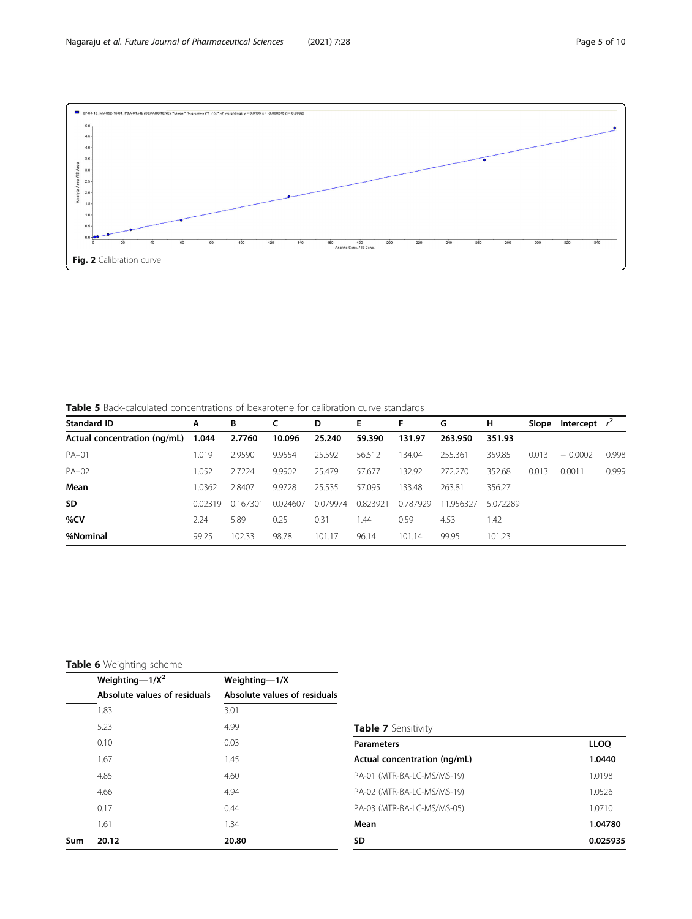<span id="page-4-0"></span>

Table 5 Back-calculated concentrations of bexarotene for calibration curve standards

| <b>Standard ID</b>           | A      | В        |          | D        | Е        | F        | G         | н        | Slope | Intercept $r^2$ |       |
|------------------------------|--------|----------|----------|----------|----------|----------|-----------|----------|-------|-----------------|-------|
| Actual concentration (ng/mL) | 1.044  | 2.7760   | 10.096   | 25.240   | 59.390   | 131.97   | 263.950   | 351.93   |       |                 |       |
| $PA-01$                      | 1.019  | 2.9590   | 9.9554   | 25.592   | 56.512   | 134.04   | 255.361   | 359.85   | 0.013 | $-0.0002$       | 0.998 |
| $PA-02$                      | 1.052  | 2.7224   | 9.9902   | 25.479   | 57.677   | 132.92   | 272.270   | 352.68   | 0.013 | 0.0011          | 0.999 |
| Mean                         | 1.0362 | 2.8407   | 9.9728   | 25.535   | 57.095   | 133.48   | 263.81    | 356.27   |       |                 |       |
| <b>SD</b>                    | 002319 | 0.167301 | 0.024607 | 0.079974 | 0.823921 | 0.787929 | 11.956327 | 5.072289 |       |                 |       |
| %CV                          | 2.24   | 5.89     | 0.25     | 0.31     | .44      | 0.59     | 4.53      | 1.42     |       |                 |       |
| %Nominal                     | 99.25  | 102.33   | 98.78    | 101.17   | 96.14    | 101.14   | 99.95     | 101.23   |       |                 |       |

# Table 6 Weighting scheme

|     | Weighting- $1/X^2$           | Weighting-1/X                |                              |             |
|-----|------------------------------|------------------------------|------------------------------|-------------|
|     | Absolute values of residuals | Absolute values of residuals |                              |             |
|     | 1.83                         | 3.01                         |                              |             |
|     | 5.23                         | 4.99                         | <b>Table 7</b> Sensitivity   |             |
|     | 0.10                         | 0.03                         | <b>Parameters</b>            | <b>LLOQ</b> |
|     | 1.67                         | 1.45                         | Actual concentration (ng/mL) | 1.0440      |
|     | 4.85                         | 4.60                         | PA-01 (MTR-BA-LC-MS/MS-19)   | 1.0198      |
|     | 4.66                         | 4.94                         | PA-02 (MTR-BA-LC-MS/MS-19)   | 1.0526      |
|     | 0.17                         | 0.44                         | PA-03 (MTR-BA-LC-MS/MS-05)   | 1.0710      |
|     | 1.61                         | .34                          | Mean                         | 1.04780     |
| Sum | 20.12                        | 20.80                        | SD                           | 0.025935    |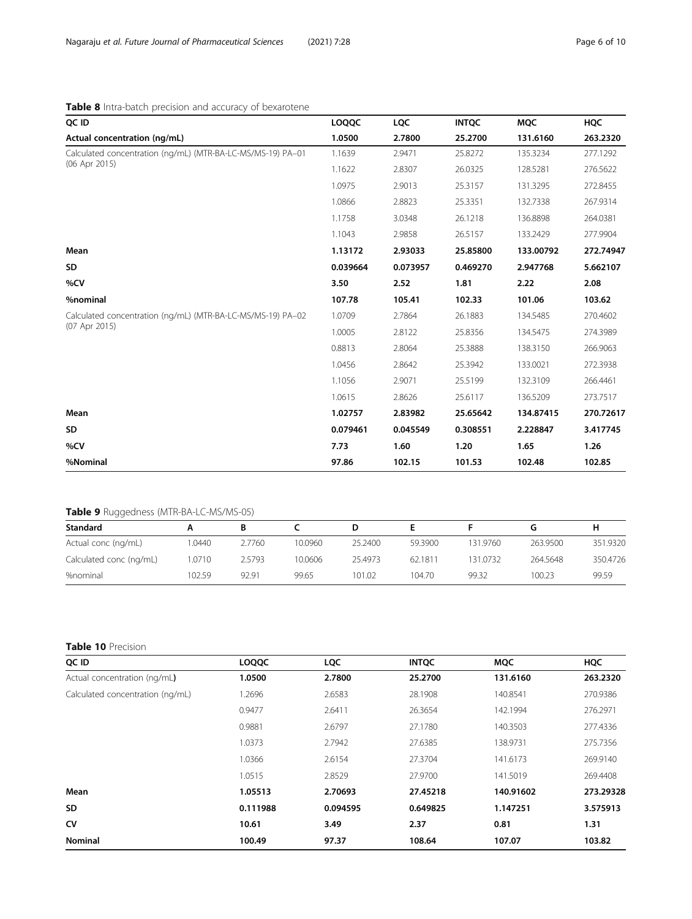# <span id="page-5-0"></span>Table 8 Intra-batch precision and accuracy of bexarotene

| QC ID                                                       | LOQQC    | <b>LQC</b> | <b>INTQC</b> | <b>MQC</b> | <b>HQC</b> |
|-------------------------------------------------------------|----------|------------|--------------|------------|------------|
| Actual concentration (ng/mL)                                | 1.0500   | 2.7800     | 25.2700      | 131.6160   | 263.2320   |
| Calculated concentration (ng/mL) (MTR-BA-LC-MS/MS-19) PA-01 | 1.1639   | 2.9471     | 25.8272      | 135.3234   | 277.1292   |
| (06 Apr 2015)                                               | 1.1622   | 2.8307     | 26.0325      | 128.5281   | 276.5622   |
|                                                             | 1.0975   | 2.9013     | 25.3157      | 131.3295   | 272.8455   |
|                                                             | 1.0866   | 2.8823     | 25.3351      | 132.7338   | 267.9314   |
|                                                             | 1.1758   | 3.0348     | 26.1218      | 136.8898   | 264.0381   |
|                                                             | 1.1043   | 2.9858     | 26.5157      | 133.2429   | 277.9904   |
| Mean                                                        | 1.13172  | 2.93033    | 25.85800     | 133.00792  | 272.74947  |
| SD                                                          | 0.039664 | 0.073957   | 0.469270     | 2.947768   | 5.662107   |
| %CV                                                         | 3.50     | 2.52       | 1.81         | 2.22       | 2.08       |
| %nominal                                                    | 107.78   | 105.41     | 102.33       | 101.06     | 103.62     |
| Calculated concentration (ng/mL) (MTR-BA-LC-MS/MS-19) PA-02 | 1.0709   | 2.7864     | 26.1883      | 134.5485   | 270,4602   |
| (07 Apr 2015)                                               | 1.0005   | 2.8122     | 25.8356      | 134.5475   | 274.3989   |
|                                                             | 0.8813   | 2.8064     | 25.3888      | 138.3150   | 266.9063   |
|                                                             | 1.0456   | 2.8642     | 25.3942      | 133.0021   | 272.3938   |
|                                                             | 1.1056   | 2.9071     | 25.5199      | 132.3109   | 266.4461   |
|                                                             | 1.0615   | 2.8626     | 25.6117      | 136.5209   | 273.7517   |
| Mean                                                        | 1.02757  | 2.83982    | 25.65642     | 134.87415  | 270.72617  |
| <b>SD</b>                                                   | 0.079461 | 0.045549   | 0.308551     | 2.228847   | 3.417745   |
| %CV                                                         | 7.73     | 1.60       | 1.20         | 1.65       | 1.26       |
| %Nominal                                                    | 97.86    | 102.15     | 101.53       | 102.48     | 102.85     |

# Table 9 Ruggedness (MTR-BA-LC-MS/MS-05)

| <b>Standard</b>         |        |        |         |         |         |          |          | н        |
|-------------------------|--------|--------|---------|---------|---------|----------|----------|----------|
| Actual conc (ng/mL)     | .0440  | 2.7760 | 10.0960 | 25.2400 | 59.3900 | 131.9760 | 263.9500 | 351.9320 |
| Calculated conc (ng/mL) | .0710  | 2.5793 | 10.0606 | 25.4973 | 62.1811 | 131.0732 | 264.5648 | 350.4726 |
| %nominal                | 102.59 | 92.91  | 99.65   | 101.02  | 104.70  | 99.32    | 100.23   | 99.59    |

# Table 10 Precision

| QC ID                            | <b>LOQQC</b> | <b>LQC</b> | <b>INTQC</b> | <b>MQC</b> | <b>HQC</b> |
|----------------------------------|--------------|------------|--------------|------------|------------|
| Actual concentration (ng/mL)     | 1.0500       | 2.7800     | 25.2700      | 131.6160   | 263.2320   |
| Calculated concentration (ng/mL) | 1.2696       | 2.6583     | 28.1908      | 140.8541   | 270.9386   |
|                                  | 0.9477       | 2.6411     | 26.3654      | 142.1994   | 276.2971   |
|                                  | 0.9881       | 2.6797     | 27.1780      | 140.3503   | 277.4336   |
|                                  | 1.0373       | 2.7942     | 27.6385      | 138.9731   | 275.7356   |
|                                  | 1.0366       | 2.6154     | 27.3704      | 141.6173   | 269.9140   |
|                                  | 1.0515       | 2.8529     | 27.9700      | 141.5019   | 269,4408   |
| Mean                             | 1.05513      | 2.70693    | 27.45218     | 140.91602  | 273.29328  |
| <b>SD</b>                        | 0.111988     | 0.094595   | 0.649825     | 1.147251   | 3.575913   |
| CV                               | 10.61        | 3.49       | 2.37         | 0.81       | 1.31       |
| <b>Nominal</b>                   | 100.49       | 97.37      | 108.64       | 107.07     | 103.82     |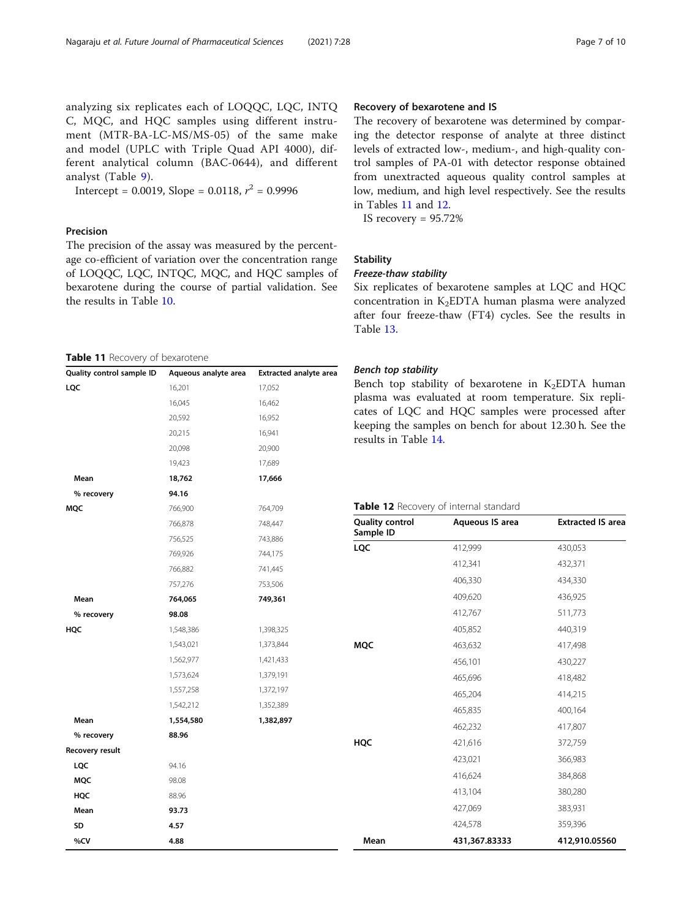analyzing six replicates each of LOQQC, LQC, INTQ C, MQC, and HQC samples using different instrument (MTR-BA-LC-MS/MS-05) of the same make and model (UPLC with Triple Quad API 4000), different analytical column (BAC-0644), and different analyst (Table [9](#page-5-0)).

Intercept = 0.0019, Slope = 0.0118,  $r^2$  = 0.9996

# Precision

The precision of the assay was measured by the percentage co-efficient of variation over the concentration range of LOQQC, LQC, INTQC, MQC, and HQC samples of bexarotene during the course of partial validation. See the results in Table [10.](#page-5-0)

Table 11 Recovery of bexarotene

| Quality control sample ID | Aqueous analyte area | Extracted analyte area |
|---------------------------|----------------------|------------------------|
| LQC                       | 16,201               | 17,052                 |
|                           | 16,045               | 16,462                 |
|                           | 20,592               | 16,952                 |
|                           | 20,215               | 16,941                 |
|                           | 20,098               | 20,900                 |
|                           | 19,423               | 17,689                 |
| Mean                      | 18,762               | 17,666                 |
| % recovery                | 94.16                |                        |
| MQC                       | 766,900              | 764,709                |
|                           | 766,878              | 748,447                |
|                           | 756,525              | 743,886                |
|                           | 769,926              | 744,175                |
|                           | 766,882              | 741,445                |
|                           | 757,276              | 753,506                |
| Mean                      | 764,065              | 749,361                |
| % recovery                | 98.08                |                        |
| HQC                       | 1,548,386            | 1,398,325              |
|                           | 1,543,021            | 1,373,844              |
|                           | 1,562,977            | 1,421,433              |
|                           | 1,573,624            | 1,379,191              |
|                           | 1,557,258            | 1,372,197              |
|                           | 1,542,212            | 1,352,389              |
| Mean                      | 1,554,580            | 1,382,897              |
| % recovery                | 88.96                |                        |
| Recovery result           |                      |                        |
| LQC                       | 94.16                |                        |
| MQC                       | 98.08                |                        |
| HQC                       | 88.96                |                        |
| Mean                      | 93.73                |                        |
| SD                        | 4.57                 |                        |
| %CV                       | 4.88                 |                        |

# Recovery of bexarotene and IS

The recovery of bexarotene was determined by comparing the detector response of analyte at three distinct levels of extracted low-, medium-, and high-quality control samples of PA-01 with detector response obtained from unextracted aqueous quality control samples at low, medium, and high level respectively. See the results in Tables 11 and 12.

IS recovery = 95.72%

#### **Stability**

# Freeze-thaw stability

Six replicates of bexarotene samples at LQC and HQC concentration in  $K_2EDTA$  human plasma were analyzed after four freeze-thaw (FT4) cycles. See the results in Table [13](#page-7-0).

#### Bench top stability

Bench top stability of bexarotene in  $K_2EDTA$  human plasma was evaluated at room temperature. Six replicates of LQC and HQC samples were processed after keeping the samples on bench for about 12.30 h. See the results in Table [14](#page-7-0).

# Table 12 Recovery of internal standard

| <b>Quality control</b><br>Sample ID | Aqueous IS area | <b>Extracted IS area</b> |
|-------------------------------------|-----------------|--------------------------|
| LQC                                 | 412,999         | 430,053                  |
|                                     | 412,341         | 432,371                  |
|                                     | 406,330         | 434,330                  |
|                                     | 409,620         | 436,925                  |
|                                     | 412,767         | 511,773                  |
|                                     | 405,852         | 440,319                  |
| <b>MQC</b>                          | 463,632         | 417,498                  |
|                                     | 456,101         | 430,227                  |
|                                     | 465,696         | 418,482                  |
|                                     | 465,204         | 414,215                  |
|                                     | 465,835         | 400,164                  |
|                                     | 462,232         | 417,807                  |
| <b>HQC</b>                          | 421,616         | 372,759                  |
|                                     | 423,021         | 366,983                  |
|                                     | 416,624         | 384,868                  |
|                                     | 413,104         | 380,280                  |
|                                     | 427,069         | 383,931                  |
|                                     | 424,578         | 359,396                  |
| Mean                                | 431,367.83333   | 412,910.05560            |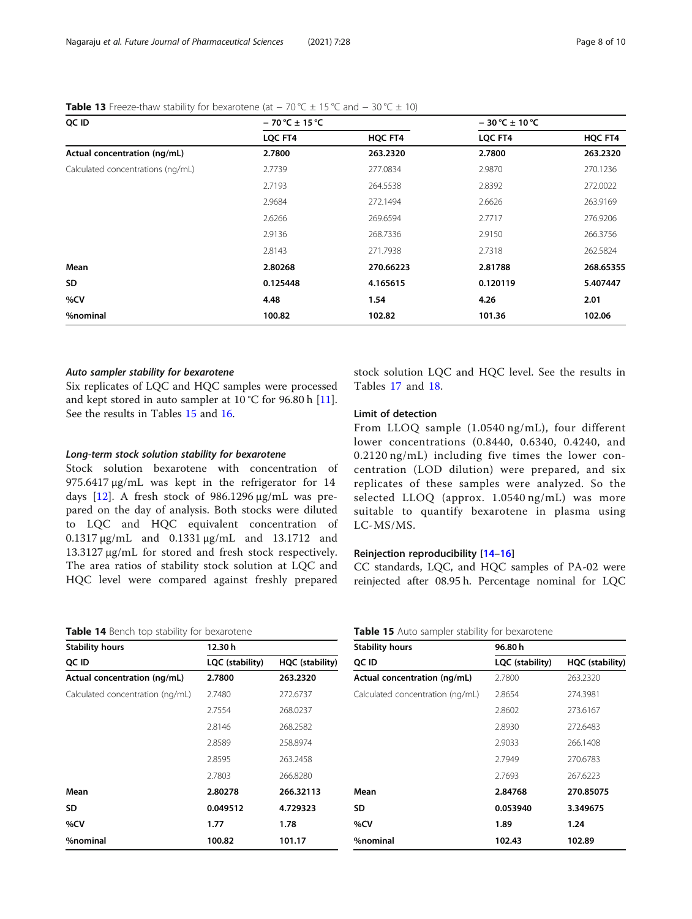| $-70 °C \pm 15 °C$ |           | $-30^{\circ}$ C ± 10 °C |           |
|--------------------|-----------|-------------------------|-----------|
| LQC FT4            | HQC FT4   | LQC FT4                 | HQC FT4   |
| 2.7800             | 263.2320  | 2.7800                  | 263.2320  |
| 2.7739             | 277.0834  | 2.9870                  | 270.1236  |
| 2.7193             | 264.5538  | 2.8392                  | 272.0022  |
| 2.9684             | 272.1494  | 2.6626                  | 263.9169  |
| 2.6266             | 269.6594  | 2.7717                  | 276.9206  |
| 2.9136             | 268.7336  | 2.9150                  | 266.3756  |
| 2.8143             | 271.7938  | 2.7318                  | 262.5824  |
| 2.80268            | 270.66223 | 2.81788                 | 268.65355 |
| 0.125448           | 4.165615  | 0.120119                | 5.407447  |
| 4.48               | 1.54      | 4.26                    | 2.01      |
| 100.82             | 102.82    | 101.36                  | 102.06    |
|                    |           |                         |           |

# <span id="page-7-0"></span>Table 13 Freeze-thaw stability for bexarotene (at  $-70$  °C  $\pm$  15 °C and  $-30$  °C  $\pm$  10)

#### Auto sampler stability for bexarotene

Six replicates of LQC and HQC samples were processed and kept stored in auto sampler at 10 °C for 96.80 h [\[11](#page-9-0)]. See the results in Tables 15 and [16](#page-8-0).

#### Long-term stock solution stability for bexarotene

Stock solution bexarotene with concentration of 975.6417 μg/mL was kept in the refrigerator for 14 days  $[12]$  $[12]$ . A fresh stock of 986.1296 μg/mL was prepared on the day of analysis. Both stocks were diluted to LQC and HQC equivalent concentration of 0.1317 μg/mL and 0.1331 μg/mL and 13.1712 and 13.3127 μg/mL for stored and fresh stock respectively. The area ratios of stability stock solution at LQC and HQC level were compared against freshly prepared

#### Table 14 Bench top stability for bexarotene

| <b>Stability hours</b>           | 12.30h          |                 |  |  |
|----------------------------------|-----------------|-----------------|--|--|
| QC ID                            | LQC (stability) | HQC (stability) |  |  |
| Actual concentration (ng/mL)     | 2.7800          | 263.2320        |  |  |
| Calculated concentration (ng/mL) | 2.7480          | 272.6737        |  |  |
|                                  | 2.7554          | 268.0237        |  |  |
|                                  | 2.8146          | 268.2582        |  |  |
|                                  | 2.8589          | 258.8974        |  |  |
|                                  | 2.8595          | 263.2458        |  |  |
|                                  | 2.7803          | 266.8280        |  |  |
| Mean                             | 2.80278         | 266.32113       |  |  |
| SD                               | 0.049512        | 4.729323        |  |  |
| %CV                              | 1.77            | 1.78            |  |  |
| %nominal                         | 100.82          | 101.17          |  |  |

stock solution LQC and HQC level. See the results in Tables [17](#page-8-0) and [18](#page-8-0).

# Limit of detection

From LLOQ sample (1.0540 ng/mL), four different lower concentrations (0.8440, 0.6340, 0.4240, and 0.2120 ng/mL) including five times the lower concentration (LOD dilution) were prepared, and six replicates of these samples were analyzed. So the selected LLOQ (approx. 1.0540 ng/mL) was more suitable to quantify bexarotene in plasma using LC-MS/MS.

#### Reinjection reproducibility [\[14](#page-9-0)–[16](#page-9-0)]

CC standards, LQC, and HQC samples of PA-02 were reinjected after 08.95 h. Percentage nominal for LQC

#### Table 15 Auto sampler stability for bexarotene

| <b>Stability hours</b>           | 96.80h          |                 |  |  |
|----------------------------------|-----------------|-----------------|--|--|
| QC ID                            | LQC (stability) | HQC (stability) |  |  |
| Actual concentration (ng/mL)     | 2.7800          | 263.2320        |  |  |
| Calculated concentration (ng/mL) | 2.8654          | 274.3981        |  |  |
|                                  | 2.8602          | 273.6167        |  |  |
|                                  | 2.8930          | 272.6483        |  |  |
|                                  | 2.9033          | 266.1408        |  |  |
|                                  | 2.7949          | 270.6783        |  |  |
|                                  | 2.7693          | 267.6223        |  |  |
| Mean                             | 2.84768         | 270.85075       |  |  |
| SD                               | 0.053940        | 3.349675        |  |  |
| %CV                              | 1.89            | 1.24            |  |  |
| %nominal                         | 102.43          | 102.89          |  |  |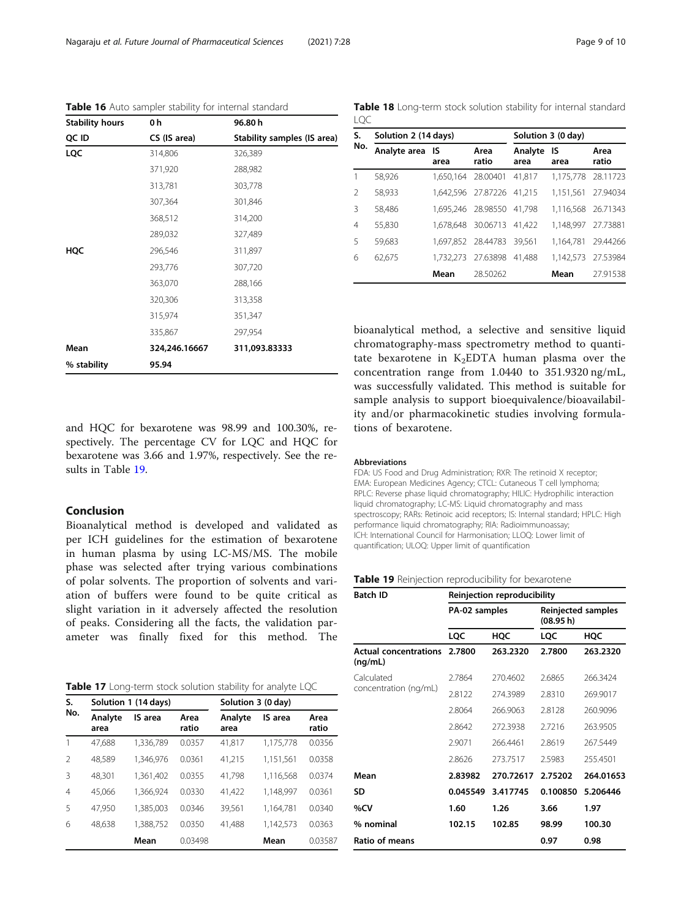| <b>Stability hours</b> | 0 h           | 96.80h                      |
|------------------------|---------------|-----------------------------|
| QC ID                  | CS (IS area)  | Stability samples (IS area) |
| <b>LQC</b>             | 314,806       | 326,389                     |
|                        | 371,920       | 288,982                     |
|                        | 313,781       | 303,778                     |
|                        | 307,364       | 301,846                     |
|                        | 368,512       | 314,200                     |
|                        | 289,032       | 327,489                     |
| HQC                    | 296,546       | 311,897                     |
|                        | 293,776       | 307,720                     |
|                        | 363,070       | 288,166                     |
|                        | 320,306       | 313,358                     |
|                        | 315,974       | 351,347                     |
|                        | 335,867       | 297,954                     |
| Mean                   | 324,246.16667 | 311,093.83333               |
| % stability            | 95.94         |                             |

<span id="page-8-0"></span>Table 16 Auto sampler stability for internal standard

Table 18 Long-term stock solution stability for internal standard LQC

| S.             | Solution 2 (14 days) |           |                           | Solution 3 (0 day) |            |                    |
|----------------|----------------------|-----------|---------------------------|--------------------|------------|--------------------|
| No.            | Analyte area IS      | area      | Area<br>ratio             | Analyte<br>area    | IS<br>area | Area<br>ratio      |
| 1              | 58.926               |           | 1.650.164 28.00401        | 41.817             | 1.175.778  | 28.11723           |
| $\mathfrak{D}$ | 58,933               |           | 1,642,596 27.87226 41,215 |                    | 1,151,561  | 27.94034           |
| 3              | 58,486               |           | 1,695,246 28.98550        | 41.798             |            | 1,116,568 26.71343 |
| 4              | 55.830               |           | 1,678,648 30.06713 41,422 |                    | 1.148.997  | 27.73881           |
| 5              | 59.683               |           | 1,697,852 28.44783 39,561 |                    | 1,164,781  | 29.44266           |
| 6              | 62.675               | 1.732.273 | 27.63898                  | 41.488             | 1,142,573  | 27.53984           |
|                |                      | Mean      | 28.50262                  |                    | Mean       | 27.91538           |

bioanalytical method, a selective and sensitive liquid chromatography-mass spectrometry method to quantitate bexarotene in  $K_2EDTA$  human plasma over the concentration range from 1.0440 to 351.9320 ng/mL, was successfully validated. This method is suitable for sample analysis to support bioequivalence/bioavailability and/or pharmacokinetic studies involving formulations of bexarotene.

and HQC for bexarotene was 98.99 and 100.30%, respectively. The percentage CV for LQC and HQC for bexarotene was 3.66 and 1.97%, respectively. See the results in Table 19.

#### Conclusion

Bioanalytical method is developed and validated as per ICH guidelines for the estimation of bexarotene in human plasma by using LC-MS/MS. The mobile phase was selected after trying various combinations of polar solvents. The proportion of solvents and variation of buffers were found to be quite critical as slight variation in it adversely affected the resolution of peaks. Considering all the facts, the validation parameter was finally fixed for this method. The

| Table 17 Long-term stock solution stability for analyte LQC |  |
|-------------------------------------------------------------|--|
|-------------------------------------------------------------|--|

| S.             | Solution 1 (14 days) |           |               | Solution 3 (0 day) |           |               |
|----------------|----------------------|-----------|---------------|--------------------|-----------|---------------|
| No.            | Analyte<br>area      | IS area   | Area<br>ratio | Analyte<br>area    | IS area   | Area<br>ratio |
|                | 47.688               | 1,336,789 | 0.0357        | 41,817             | 1,175,778 | 0.0356        |
| $\mathfrak{D}$ | 48.589               | 1.346.976 | 0.0361        | 41,215             | 1,151,561 | 0.0358        |
| $\mathcal{R}$  | 48.301               | 1,361,402 | 0.0355        | 41,798             | 1,116,568 | 0.0374        |
| $\overline{4}$ | 45.066               | 1.366.924 | 0.0330        | 41.422             | 1.148.997 | 0.0361        |
| -5             | 47.950               | 1.385.003 | 0.0346        | 39.561             | 1.164.781 | 0.0340        |
| 6              | 48.638               | 1.388.752 | 0.0350        | 41.488             | 1.142.573 | 0.0363        |
|                |                      | Mean      | 0.03498       |                    | Mean      | 0.03587       |

#### Abbreviations

FDA: US Food and Drug Administration; RXR: The retinoid X receptor; EMA: European Medicines Agency; CTCL: Cutaneous T cell lymphoma; RPLC: Reverse phase liquid chromatography; HILIC: Hydrophilic interaction liquid chromatography; LC-MS: Liquid chromatography and mass spectroscopy; RARs: Retinoic acid receptors; IS: Internal standard; HPLC: High performance liquid chromatography; RIA: Radioimmunoassay; ICH: International Council for Harmonisation; LLOQ: Lower limit of quantification; ULOQ: Upper limit of quantification

#### Table 19 Reinjection reproducibility for bexarotene

| Batch ID                                | Reinjection reproducibility |           |                                 |           |  |  |
|-----------------------------------------|-----------------------------|-----------|---------------------------------|-----------|--|--|
|                                         | PA-02 samples               |           | Reinjected samples<br>(08.95 h) |           |  |  |
|                                         | LQC                         | HQC       | LQC                             | HQC       |  |  |
| <b>Actual concentrations</b><br>(nq/mL) | 2.7800                      | 263.2320  | 2.7800                          | 263.2320  |  |  |
| Calculated<br>concentration (ng/mL)     | 2.7864                      | 270.4602  | 2.6865                          | 266.3424  |  |  |
|                                         | 2.8122                      | 274.3989  | 2.8310                          | 269.9017  |  |  |
|                                         | 2.8064                      | 266.9063  | 2.8128                          | 260.9096  |  |  |
|                                         | 2.8642                      | 272.3938  | 2.7216                          | 263.9505  |  |  |
|                                         | 2.9071                      | 266.4461  | 2.8619                          | 267.5449  |  |  |
|                                         | 2.8626                      | 273.7517  | 2.5983                          | 255.4501  |  |  |
| Mean                                    | 2.83982                     | 270.72617 | 2.75202                         | 264.01653 |  |  |
| SD                                      | 0.045549                    | 3.417745  | 0.100850                        | 5.206446  |  |  |
| %CV                                     | 1.60                        | 1.26      | 3.66                            | 1.97      |  |  |
| % nominal                               | 102.15                      | 102.85    | 98.99                           | 100.30    |  |  |
| Ratio of means                          |                             |           | 0.97                            | 0.98      |  |  |